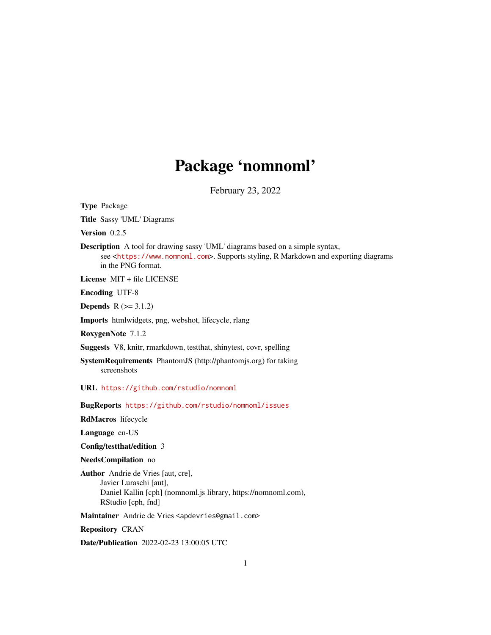## Package 'nomnoml'

February 23, 2022

Type Package

Title Sassy 'UML' Diagrams

Version 0.2.5

Description A tool for drawing sassy 'UML' diagrams based on a simple syntax, see <<https://www.nomnoml.com>>. Supports styling, R Markdown and exporting diagrams in the PNG format.

License MIT + file LICENSE

Encoding UTF-8

**Depends**  $R$  ( $> = 3.1.2$ )

Imports htmlwidgets, png, webshot, lifecycle, rlang

RoxygenNote 7.1.2

Suggests V8, knitr, rmarkdown, testthat, shinytest, covr, spelling

SystemRequirements PhantomJS (http://phantomjs.org) for taking screenshots

URL <https://github.com/rstudio/nomnoml>

BugReports <https://github.com/rstudio/nomnoml/issues>

RdMacros lifecycle

Language en-US

Config/testthat/edition 3

NeedsCompilation no

Author Andrie de Vries [aut, cre], Javier Luraschi [aut], Daniel Kallin [cph] (nomnoml.js library, https://nomnoml.com), RStudio [cph, fnd]

Maintainer Andrie de Vries <apdevries@gmail.com>

Repository CRAN

Date/Publication 2022-02-23 13:00:05 UTC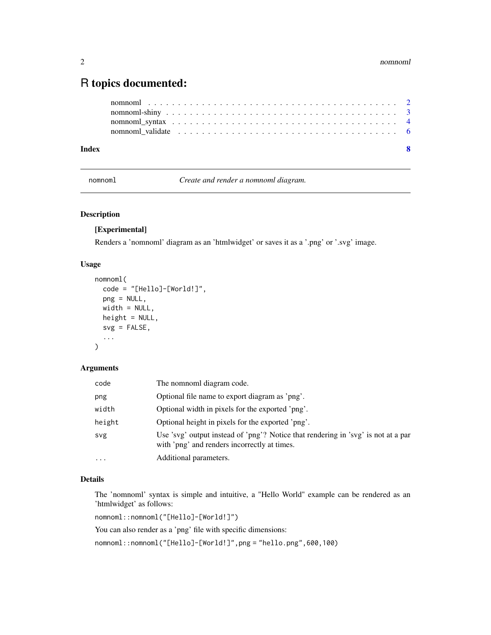### <span id="page-1-0"></span>R topics documented:

| Index |  |
|-------|--|
|       |  |
|       |  |
|       |  |
|       |  |

<span id="page-1-1"></span>nomnoml *Create and render a nomnoml diagram.*

#### Description

#### [Experimental]

Renders a 'nomnoml' diagram as an 'htmlwidget' or saves it as a '.png' or '.svg' image.

#### Usage

```
nomnoml(
  code = "[Hello]-[World!]",
 png = NULL,
 width = NULL,
 height = NULL,svg = FALSE,...
)
```
#### Arguments

| code     | The nomnoml diagram code.                                                                                                         |
|----------|-----------------------------------------------------------------------------------------------------------------------------------|
| png      | Optional file name to export diagram as 'png'.                                                                                    |
| width    | Optional width in pixels for the exported 'png'.                                                                                  |
| height   | Optional height in pixels for the exported 'png'.                                                                                 |
| svg      | Use 'svg' output instead of 'png'? Notice that rendering in 'svg' is not at a par<br>with 'png' and renders incorrectly at times. |
| $\cdots$ | Additional parameters.                                                                                                            |

#### Details

The 'nomnoml' syntax is simple and intuitive, a "Hello World" example can be rendered as an 'htmlwidget' as follows:

nomnoml::nomnoml("[Hello]-[World!]")

You can also render as a 'png' file with specific dimensions:

nomnoml::nomnoml("[Hello]-[World!]",png = "hello.png",600,100)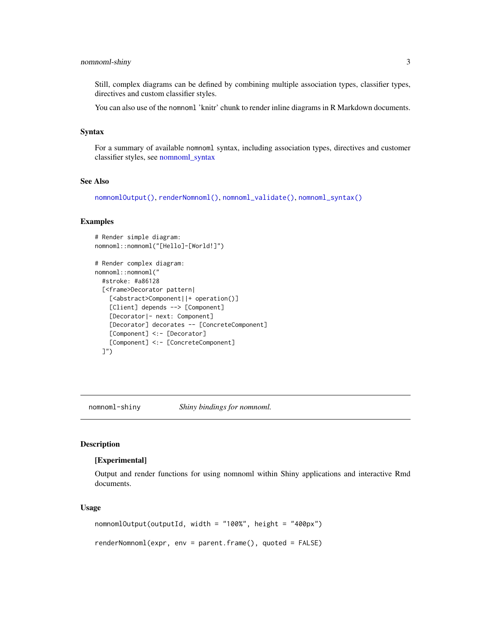#### <span id="page-2-0"></span>nomnoml-shiny 3

Still, complex diagrams can be defined by combining multiple association types, classifier types, directives and custom classifier styles.

You can also use of the nomnoml 'knitr' chunk to render inline diagrams in R Markdown documents.

#### Syntax

For a summary of available nomnoml syntax, including association types, directives and customer classifier styles, see [nomnoml\\_syntax](#page-3-1)

#### See Also

[nomnomlOutput\(\)](#page-2-1), [renderNomnoml\(\)](#page-2-1), [nomnoml\\_validate\(\)](#page-5-1), [nomnoml\\_syntax\(\)](#page-3-1)

#### Examples

```
# Render simple diagram:
nomnoml::nomnoml("[Hello]-[World!]")
```

```
# Render complex diagram:
nomnoml::nomnoml("
  #stroke: #a86128
  [<frame>Decorator pattern|
    [<abstract>Component||+ operation()]
    [Client] depends --> [Component]
    [Decorator|- next: Component]
    [Decorator] decorates -- [ConcreteComponent]
    [Component] <:- [Decorator]
    [Component] <:- [ConcreteComponent]
  ]")
```
nomnoml-shiny *Shiny bindings for nomnoml.*

#### <span id="page-2-1"></span>Description

#### [Experimental]

Output and render functions for using nomnoml within Shiny applications and interactive Rmd documents.

#### Usage

```
nomnomlOutput(outputId, width = "100%", height = "400px")
renderNomnoml(expr, env = parent.frame(), quoted = FALSE)
```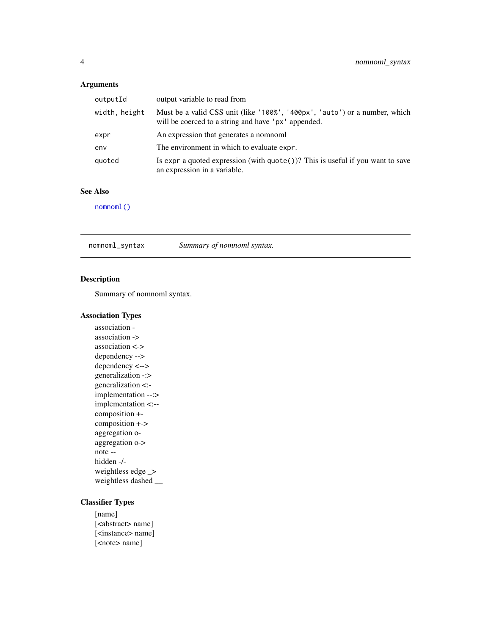#### <span id="page-3-0"></span>Arguments

| outputId      | output variable to read from                                                                                                      |
|---------------|-----------------------------------------------------------------------------------------------------------------------------------|
| width, height | Must be a valid CSS unit (like '100%', '400px', 'auto') or a number, which<br>will be coerced to a string and have 'px' appended. |
| expr          | An expression that generates a nomnoml                                                                                            |
| env           | The environment in which to evaluate expr.                                                                                        |
| quoted        | Is expr a quoted expression (with $\text{quote}()$ )? This is useful if you want to save<br>an expression in a variable.          |

#### See Also

[nomnoml\(\)](#page-1-1)

<span id="page-3-1"></span>nomnoml\_syntax *Summary of nomnoml syntax.*

#### Description

Summary of nomnoml syntax.

#### Association Types

association association -> association <-> dependency --> dependency <--> generalization -:> generalization <: implementation --:> implementation <:- composition + composition +-> aggregation oaggregation o-> note - hidden -/ weightless edge \_> weightless dashed \_\_

#### Classifier Types

[name] [<abstract> name] [<instance> name] [<note> name]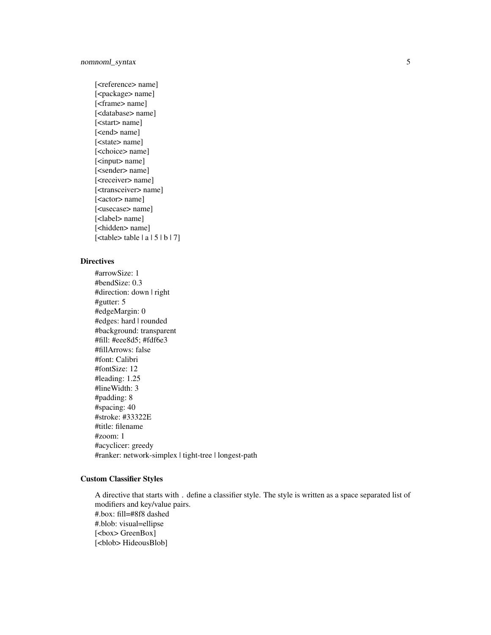#### nomnoml\_syntax 5

[<reference> name] [<package> name] [<frame> name] [<database> name] [<start> name] [<end> name] [<state> name] [<choice> name] [<input> name] [<sender> name] [<receiver> name] [<transceiver> name] [<actor> name] [<usecase> name] [<label> name] [<hidden> name] [<table> table | a | 5 | b | 7]

#### **Directives**

#arrowSize: 1 #bendSize: 0.3 #direction: down | right #gutter: 5 #edgeMargin: 0 #edges: hard | rounded #background: transparent #fill: #eee8d5; #fdf6e3 #fillArrows: false #font: Calibri #fontSize: 12 #leading: 1.25 #lineWidth: 3 #padding: 8 #spacing: 40 #stroke: #33322E #title: filename #zoom: 1 #acyclicer: greedy #ranker: network-simplex | tight-tree | longest-path

#### Custom Classifier Styles

A directive that starts with . define a classifier style. The style is written as a space separated list of modifiers and key/value pairs. #.box: fill=#8f8 dashed #.blob: visual=ellipse [<br/>box> GreenBox] [<br/>blob> HideousBlob]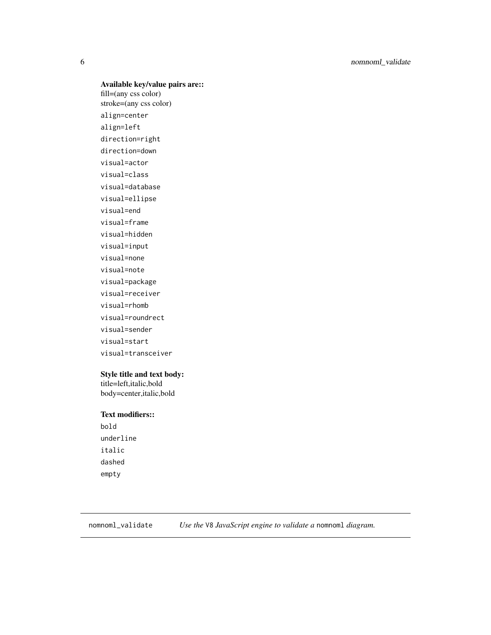#### Available key/value pairs are::

fill=(any css color) stroke=(any css color) align=center align=left direction=right direction=down visual=actor visual=class visual=database visual=ellipse visual=end visual=frame visual=hidden visual=input visual=none visual=note visual=package visual=receiver visual=rhomb visual=roundrect visual=sender visual=start visual=transceiver

#### Style title and text body:

title=left,italic,bold body=center,italic,bold

#### Text modifiers::

bold underline italic dashed empty

<span id="page-5-1"></span>nomnoml\_validate *Use the* V8 *JavaScript engine to validate a* nomnoml *diagram.*

<span id="page-5-0"></span>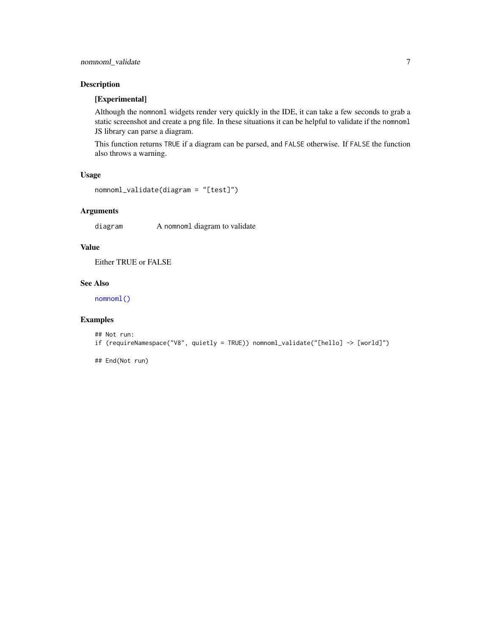#### <span id="page-6-0"></span>Description

#### [Experimental]

Although the nomnoml widgets render very quickly in the IDE, it can take a few seconds to grab a static screenshot and create a png file. In these situations it can be helpful to validate if the nomnoml JS library can parse a diagram.

This function returns TRUE if a diagram can be parsed, and FALSE otherwise. If FALSE the function also throws a warning.

#### Usage

```
nomnoml_validate(diagram = "[test]")
```
#### Arguments

diagram A nomnoml diagram to validate

#### Value

Either TRUE or FALSE

#### See Also

[nomnoml\(\)](#page-1-1)

#### Examples

```
## Not run:
if (requireNamespace("V8", quietly = TRUE)) nomnoml_validate("[hello] -> [world]")
```
## End(Not run)